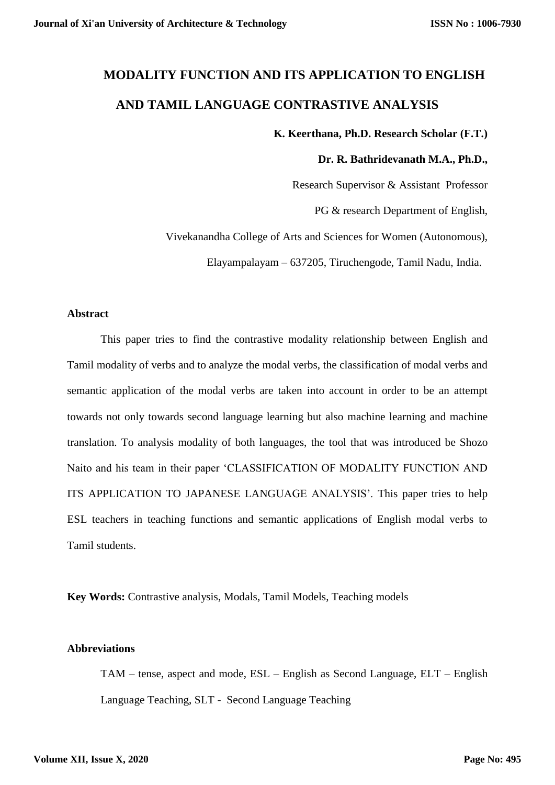# **MODALITY FUNCTION AND ITS APPLICATION TO ENGLISH AND TAMIL LANGUAGE CONTRASTIVE ANALYSIS**

## **K. Keerthana, Ph.D. Research Scholar (F.T.)**

#### **Dr. R. Bathridevanath M.A., Ph.D.,**

Research Supervisor & Assistant Professor

PG & research Department of English,

Vivekanandha College of Arts and Sciences for Women (Autonomous),

Elayampalayam – 637205, Tiruchengode, Tamil Nadu, India.

#### **Abstract**

This paper tries to find the contrastive modality relationship between English and Tamil modality of verbs and to analyze the modal verbs, the classification of modal verbs and semantic application of the modal verbs are taken into account in order to be an attempt towards not only towards second language learning but also machine learning and machine translation. To analysis modality of both languages, the tool that was introduced be Shozo Naito and his team in their paper 'CLASSIFICATION OF MODALITY FUNCTION AND ITS APPLICATION TO JAPANESE LANGUAGE ANALYSIS'. This paper tries to help ESL teachers in teaching functions and semantic applications of English modal verbs to Tamil students.

**Key Words:** Contrastive analysis, Modals, Tamil Models, Teaching models

## **Abbreviations**

TAM – tense, aspect and mode, ESL – English as Second Language, ELT – English Language Teaching, SLT - Second Language Teaching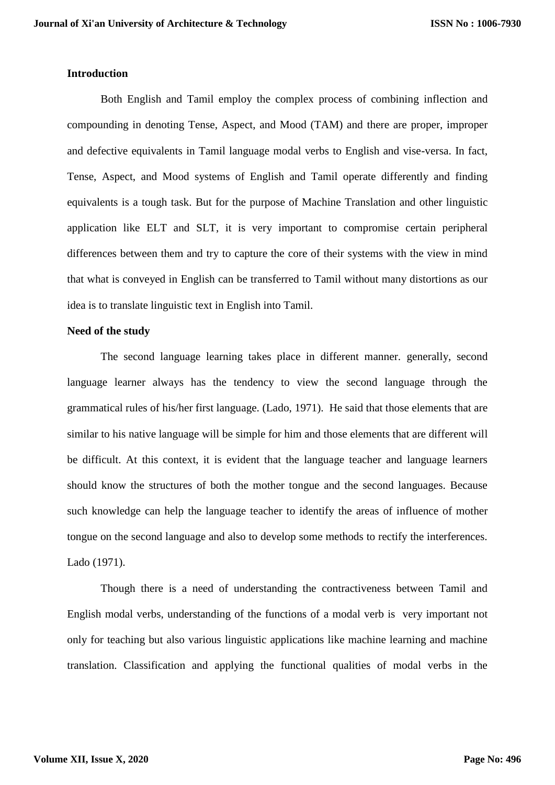#### **Introduction**

Both English and Tamil employ the complex process of combining inflection and compounding in denoting Tense, Aspect, and Mood (TAM) and there are proper, improper and defective equivalents in Tamil language modal verbs to English and vise-versa. In fact, Tense, Aspect, and Mood systems of English and Tamil operate differently and finding equivalents is a tough task. But for the purpose of Machine Translation and other linguistic application like ELT and SLT, it is very important to compromise certain peripheral differences between them and try to capture the core of their systems with the view in mind that what is conveyed in English can be transferred to Tamil without many distortions as our idea is to translate linguistic text in English into Tamil.

## **Need of the study**

The second language learning takes place in different manner. generally, second language learner always has the tendency to view the second language through the grammatical rules of his/her first language. (Lado, 1971). He said that those elements that are similar to his native language will be simple for him and those elements that are different will be difficult. At this context, it is evident that the language teacher and language learners should know the structures of both the mother tongue and the second languages. Because such knowledge can help the language teacher to identify the areas of influence of mother tongue on the second language and also to develop some methods to rectify the interferences. Lado (1971).

Though there is a need of understanding the contractiveness between Tamil and English modal verbs, understanding of the functions of a modal verb is very important not only for teaching but also various linguistic applications like machine learning and machine translation. Classification and applying the functional qualities of modal verbs in the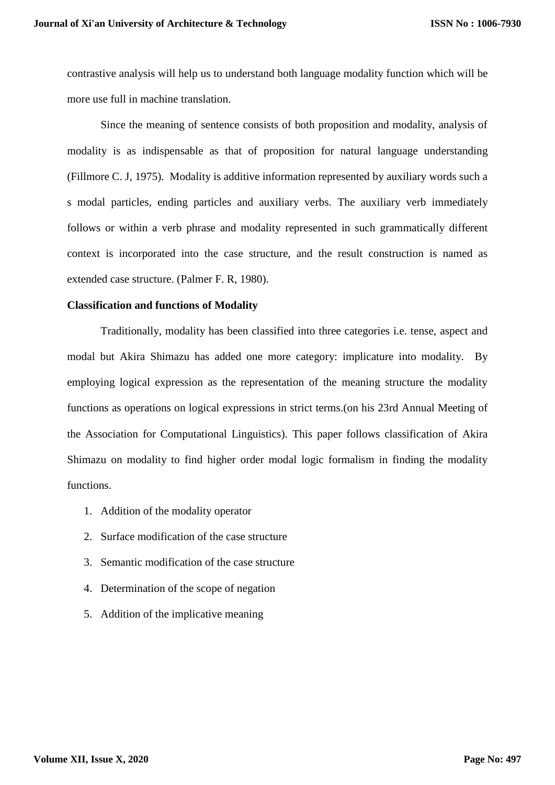contrastive analysis will help us to understand both language modality function which will be more use full in machine translation.

Since the meaning of sentence consists of both proposition and modality, analysis of modality is as indispensable as that of proposition for natural language understanding (Fillmore C. J, 1975). Modality is additive information represented by auxiliary words such a s modal particles, ending particles and auxiliary verbs. The auxiliary verb immediately follows or within a verb phrase and modality represented in such grammatically different context is incorporated into the case structure, and the result construction is named as extended case structure. (Palmer F. R, 1980).

#### **Classification and functions of Modality**

Traditionally, modality has been classified into three categories i.e. tense, aspect and modal but Akira Shimazu has added one more category: implicature into modality. By employing logical expression as the representation of the meaning structure the modality functions as operations on logical expressions in strict terms.(on his 23rd Annual Meeting of the Association for Computational Linguistics). This paper follows classification of Akira Shimazu on modality to find higher order modal logic formalism in finding the modality functions.

- 1. Addition of the modality operator
- 2. Surface modification of the case structure
- 3. Semantic modification of the case structure
- 4. Determination of the scope of negation
- 5. Addition of the implicative meaning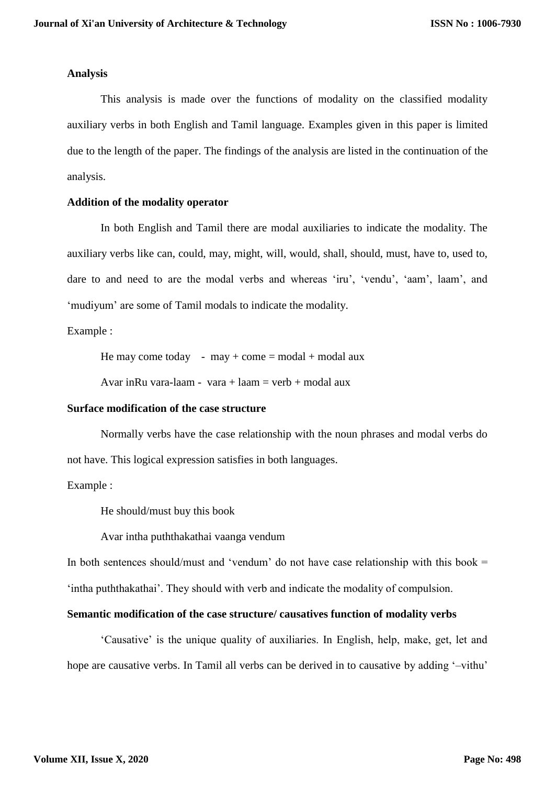#### **Analysis**

This analysis is made over the functions of modality on the classified modality auxiliary verbs in both English and Tamil language. Examples given in this paper is limited due to the length of the paper. The findings of the analysis are listed in the continuation of the analysis.

## **Addition of the modality operator**

In both English and Tamil there are modal auxiliaries to indicate the modality. The auxiliary verbs like can, could, may, might, will, would, shall, should, must, have to, used to, dare to and need to are the modal verbs and whereas 'iru', 'vendu', 'aam', laam', and 'mudiyum' are some of Tamil modals to indicate the modality.

Example :

He may come today - may + come = modal + modal aux

Avar inRu vara-laam - vara + laam = verb + modal aux

#### **Surface modification of the case structure**

Normally verbs have the case relationship with the noun phrases and modal verbs do not have. This logical expression satisfies in both languages.

## Example :

He should/must buy this book

Avar intha puththakathai vaanga vendum

In both sentences should/must and 'vendum' do not have case relationship with this book  $=$ 'intha puththakathai'. They should with verb and indicate the modality of compulsion.

## **Semantic modification of the case structure/ causatives function of modality verbs**

'Causative' is the unique quality of auxiliaries. In English, help, make, get, let and hope are causative verbs. In Tamil all verbs can be derived in to causative by adding '–vithu'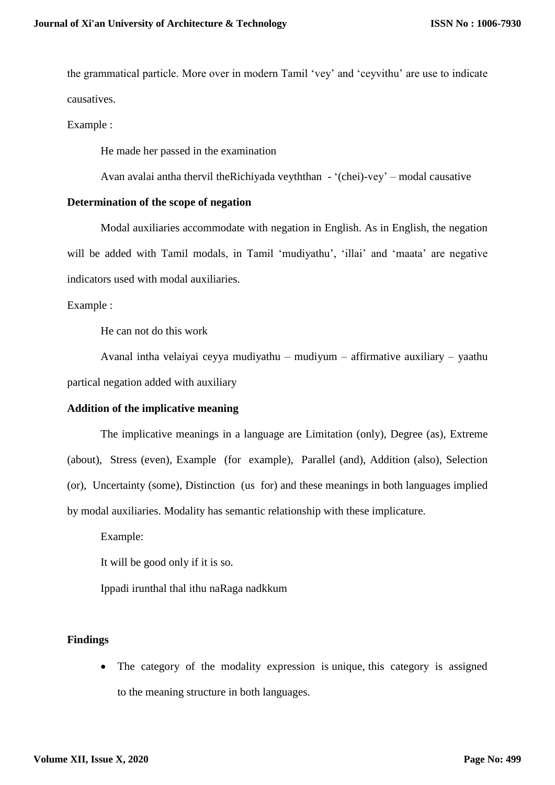the grammatical particle. More over in modern Tamil 'vey' and 'ceyvithu' are use to indicate causatives.

Example :

He made her passed in the examination

Avan avalai antha thervil theRichiyada veyththan - '(chei)-vey' – modal causative

#### **Determination of the scope of negation**

Modal auxiliaries accommodate with negation in English. As in English, the negation will be added with Tamil modals, in Tamil 'mudiyathu', 'illai' and 'maata' are negative indicators used with modal auxiliaries.

Example :

He can not do this work

Avanal intha velaiyai ceyya mudiyathu – mudiyum – affirmative auxiliary – yaathu partical negation added with auxiliary

#### **Addition of the implicative meaning**

The implicative meanings in a language are Limitation (only), Degree (as), Extreme (about), Stress (even), Example (for example), Parallel (and), Addition (also), Selection (or), Uncertainty (some), Distinction (us for) and these meanings in both languages implied by modal auxiliaries. Modality has semantic relationship with these implicature.

Example:

It will be good only if it is so.

Ippadi irunthal thal ithu naRaga nadkkum

## **Findings**

• The category of the modality expression is unique, this category is assigned to the meaning structure in both languages.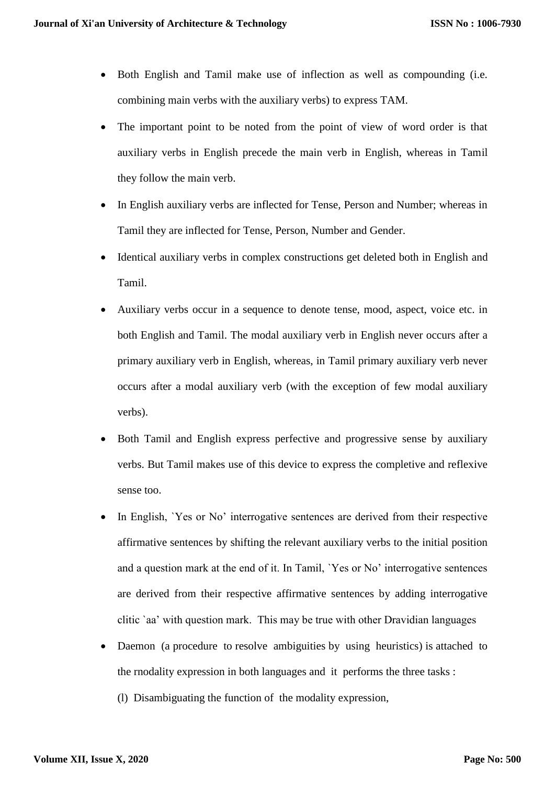- Both English and Tamil make use of inflection as well as compounding (i.e. combining main verbs with the auxiliary verbs) to express TAM.
- The important point to be noted from the point of view of word order is that auxiliary verbs in English precede the main verb in English, whereas in Tamil they follow the main verb.
- In English auxiliary verbs are inflected for Tense, Person and Number; whereas in Tamil they are inflected for Tense, Person, Number and Gender.
- Identical auxiliary verbs in complex constructions get deleted both in English and Tamil.
- Auxiliary verbs occur in a sequence to denote tense, mood, aspect, voice etc. in both English and Tamil. The modal auxiliary verb in English never occurs after a primary auxiliary verb in English, whereas, in Tamil primary auxiliary verb never occurs after a modal auxiliary verb (with the exception of few modal auxiliary verbs).
- Both Tamil and English express perfective and progressive sense by auxiliary verbs. But Tamil makes use of this device to express the completive and reflexive sense too.
- In English, `Yes or No' interrogative sentences are derived from their respective affirmative sentences by shifting the relevant auxiliary verbs to the initial position and a question mark at the end of it. In Tamil, `Yes or No' interrogative sentences are derived from their respective affirmative sentences by adding interrogative clitic `aa' with question mark. This may be true with other Dravidian languages
- Daemon (a procedure to resolve ambiguities by using heuristics) is attached to the rnodality expression in both languages and it performs the three tasks :
	- (l) Disambiguating the function of the modality expression,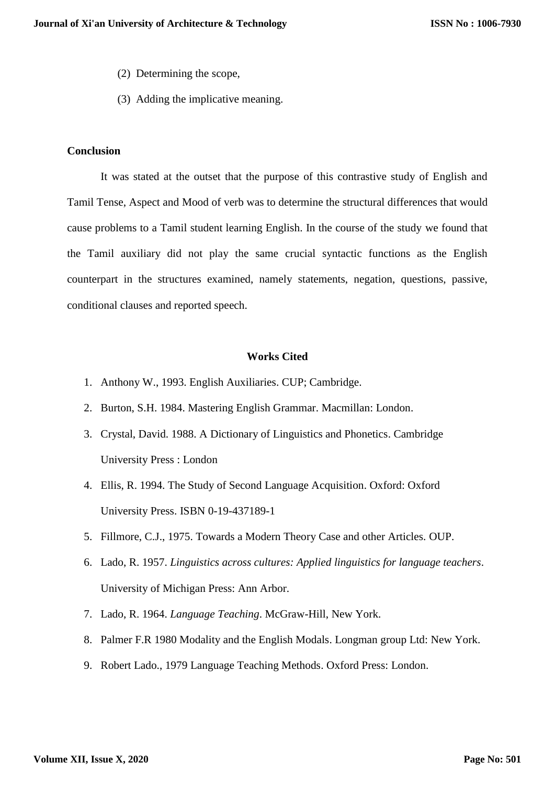- (2) Determining the scope,
- (3) Adding the implicative meaning.

#### **Conclusion**

It was stated at the outset that the purpose of this contrastive study of English and Tamil Tense, Aspect and Mood of verb was to determine the structural differences that would cause problems to a Tamil student learning English. In the course of the study we found that the Tamil auxiliary did not play the same crucial syntactic functions as the English counterpart in the structures examined, namely statements, negation, questions, passive, conditional clauses and reported speech.

#### **Works Cited**

- 1. Anthony W., 1993. English Auxiliaries. CUP; Cambridge.
- 2. Burton, S.H. 1984. Mastering English Grammar. Macmillan: London.
- 3. Crystal, David. 1988. A Dictionary of Linguistics and Phonetics. Cambridge University Press : London
- 4. Ellis, R. 1994. The Study of Second Language Acquisition. Oxford: Oxford University Press. ISBN 0-19-437189-1
- 5. Fillmore, C.J., 1975. Towards a Modern Theory Case and other Articles. OUP.
- 6. Lado, R. 1957. *Linguistics across cultures: Applied linguistics for language teachers*. University of Michigan Press: Ann Arbor.
- 7. Lado, R. 1964. *Language Teaching*. McGraw-Hill, New York.
- 8. Palmer F.R 1980 Modality and the English Modals. Longman group Ltd: New York.
- 9. Robert Lado., 1979 Language Teaching Methods. Oxford Press: London.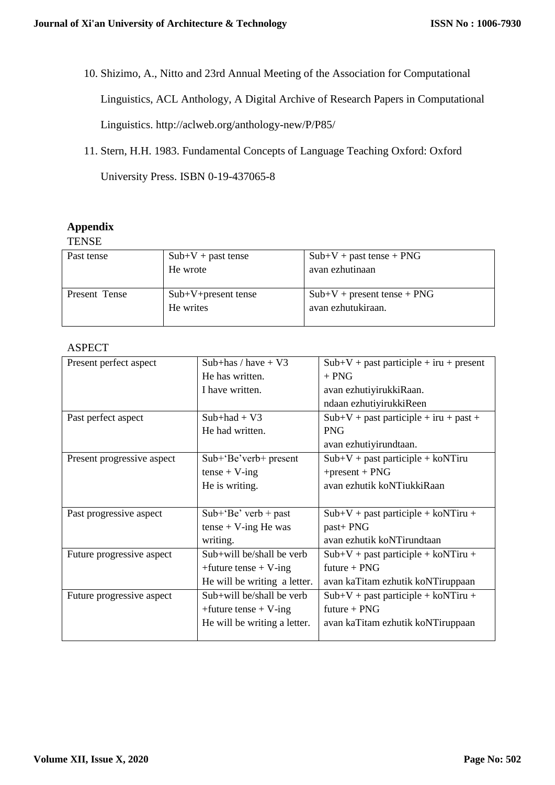10. Shizimo, A., Nitto and 23rd Annual Meeting of the Association for Computational

Linguistics, ACL Anthology, A Digital Archive of Research Papers in Computational

Linguistics. http://aclweb.org/anthology-new/P/P85/

11. Stern, H.H. 1983. Fundamental Concepts of Language Teaching Oxford: Oxford

University Press. ISBN 0-19-437065-8

## **Appendix**

## **TENSE**

| Past tense    | $Sub+V + past$ tense  | $Sub+V + past$ tense + PNG    |
|---------------|-----------------------|-------------------------------|
|               | He wrote              | avan ezhutinaan               |
|               |                       |                               |
| Present Tense | $Sub+V+present$ tense | $Sub+V$ + present tense + PNG |
|               | He writes             | avan ezhutukiraan.            |
|               |                       |                               |

## ASPECT

| Present perfect aspect     | Sub+has / have $+$ V3        | $Sub+V + past$ participle + iru + present |
|----------------------------|------------------------------|-------------------------------------------|
|                            | He has written.              | $+$ PNG                                   |
|                            | I have written.              | avan ezhutiyirukkiRaan.                   |
|                            |                              | ndaan ezhutiyirukkiReen                   |
| Past perfect aspect        | $Sub+had + V3$               | $Sub+V + past$ participle + iru + past +  |
|                            | He had written.              | <b>PNG</b>                                |
|                            |                              | avan ezhutiyirundtaan.                    |
| Present progressive aspect | $Sub+$ Be'verb+ present      | $Sub+V + past$ participle + koNTiru       |
|                            | $tense + V-ing$              | $+$ present + PNG                         |
|                            | He is writing.               | avan ezhutik koNTiukkiRaan                |
|                            |                              |                                           |
| Past progressive aspect    | $Sub+Be'$ verb + past        | $Sub+V + past$ participle + koNTiru +     |
|                            | $tense + V-ing He was$       | past+ PNG                                 |
|                            | writing.                     | avan ezhutik koNTirundtaan                |
| Future progressive aspect  | Sub+will be/shall be verb    | $Sub+V + past$ participle + koNTiru +     |
|                            | +future tense + $V$ -ing     | $future + PNG$                            |
|                            | He will be writing a letter. | avan kaTitam ezhutik koNTiruppaan         |
| Future progressive aspect  | $Sub+will be/shall be verb$  | $Sub+V + past$ participle + koNTiru +     |
|                            | $+$ future tense + V-ing     | future $+$ PNG                            |
|                            | He will be writing a letter. | avan kaTitam ezhutik koNTiruppaan         |
|                            |                              |                                           |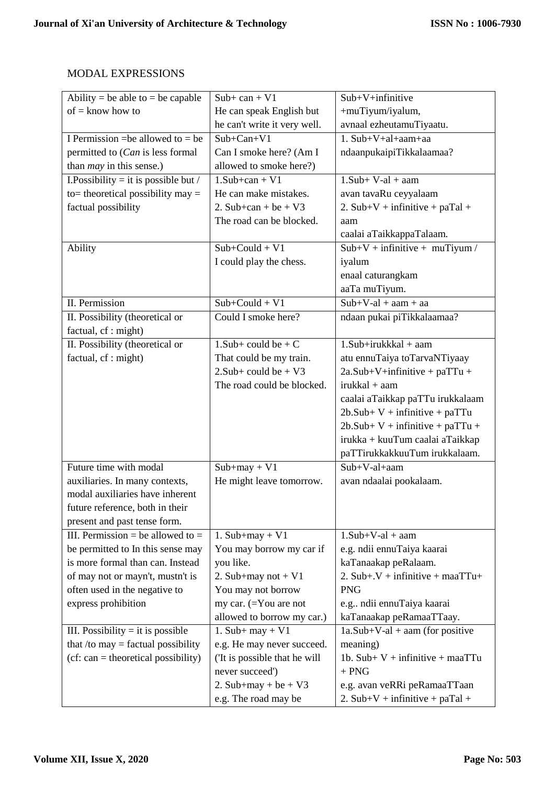## MODAL EXPRESSIONS

| Ability = be able to = be capable     | $Sub+ can + V1$               | Sub+V+infinitive                    |
|---------------------------------------|-------------------------------|-------------------------------------|
| $of =$ know how to                    | He can speak English but      | +muTiyum/iyalum,                    |
|                                       | he can't write it very well.  | avnaal ezheutamuTiyaatu.            |
| I Permission = be allowed to = be     | $Sub+Can+V1$                  | $1. Sub+V+al+aam+aa$                |
| permitted to (Can is less formal      | Can I smoke here? (Am I       | ndaanpukaipiTikkalaamaa?            |
| than <i>may</i> in this sense.)       | allowed to smoke here?)       |                                     |
| I. Possibility = it is possible but / | $1.Sub + can + V1$            | $1.Sub+V-al + aan$                  |
| to= theoretical possibility may $=$   | He can make mistakes.         | avan tavaRu ceyyalaam               |
| factual possibility                   | 2. Sub+can + be + $V3$        | 2. $Sub+V +$ infinitive + paTal +   |
|                                       | The road can be blocked.      | aam                                 |
|                                       |                               | caalai aTaikkappaTalaam.            |
| Ability                               | $Sub+Could + V1$              | $Sub+V +$ infinitive + muTiyum /    |
|                                       | I could play the chess.       | iyalum                              |
|                                       |                               | enaal caturangkam                   |
|                                       |                               | aaTa muTiyum.                       |
| II. Permission                        | $Sub+Could + V1$              | $Sub+V-al + aan + aa$               |
| II. Possibility (theoretical or       | Could I smoke here?           | ndaan pukai piTikkalaamaa?          |
| factual, cf : might)                  |                               |                                     |
| II. Possibility (theoretical or       | 1. Sub+ could be + $C$        | $1.Sub+irukkkal + aam$              |
| factual, cf : might)                  | That could be my train.       | atu ennuTaiya toTarvaNTiyaay        |
|                                       | $2.Sub + could be + V3$       | $2a.Sub+V+infinitive + paTTu +$     |
|                                       | The road could be blocked.    | irukkal + aam                       |
|                                       |                               | caalai aTaikkap paTTu irukkalaam    |
|                                       |                               | $2b$ . Sub+ V + infinitive + paTTu  |
|                                       |                               | $2b$ .Sub+ V + infinitive + paTTu + |
|                                       |                               | irukka + kuuTum caalai aTaikkap     |
|                                       |                               | paTTirukkakkuuTum irukkalaam.       |
| Future time with modal                | $Sub+may + V1$                | $Sub+V-al+aam$                      |
| auxiliaries. In many contexts,        | He might leave tomorrow.      | avan ndaalai pookalaam.             |
| modal auxiliaries have inherent       |                               |                                     |
| future reference, both in their       |                               |                                     |
| present and past tense form.          |                               |                                     |
| III. Permission = be allowed to =     | 1. $Sub+may + V1$             | $1.Sub+V-al + aan$                  |
| be permitted to In this sense may     | You may borrow my car if      | e.g. ndii ennuTaiya kaarai          |
| is more formal than can. Instead      | you like.                     | kaTanaakap peRalaam.                |
| of may not or mayn't, mustn't is      | 2. Sub+may not + $V1$         | 2. Sub+.V + infinitive + maaTTu+    |
| often used in the negative to         | You may not borrow            | <b>PNG</b>                          |
| express prohibition                   | my car. $(=$ You are not      | e.g ndii ennuTaiya kaarai           |
|                                       | allowed to borrow my car.)    | kaTanaakap peRamaaTTaay.            |
| III. Possibility $=$ it is possible   | 1. Sub+ may + $V1$            | $1a.Sub+V-al + aan (for positive)$  |
| that /to may $=$ factual possibility  | e.g. He may never succeed.    | meaning)                            |
| $(cf: can = theoretical possibility)$ | ('It is possible that he will | 1b. Sub+ $V$ + infinitive + maaTTu  |
|                                       | never succeed')               | $+$ PNG                             |
|                                       | 2. Sub+may + be + $V3$        | e.g. avan veRRi peRamaaTTaan        |
|                                       | e.g. The road may be          | 2. $Sub+V +$ infinitive + paTal +   |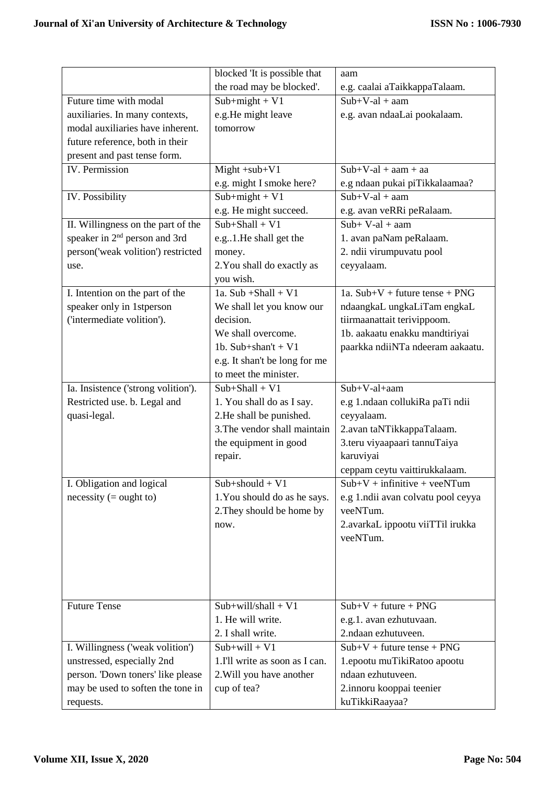|                                           | blocked 'It is possible that   | aam                                       |
|-------------------------------------------|--------------------------------|-------------------------------------------|
|                                           | the road may be blocked'.      | e.g. caalai aTaikkappaTalaam.             |
| Future time with modal                    | $Sub+might + V1$               | $Sub+V-al + aan$                          |
| auxiliaries. In many contexts,            | e.g.He might leave             | e.g. avan ndaaLai pookalaam.              |
| modal auxiliaries have inherent.          | tomorrow                       |                                           |
| future reference, both in their           |                                |                                           |
| present and past tense form.              |                                |                                           |
| IV. Permission                            | $Might + sub+V1$               | $Sub+V-al + aan + aa$                     |
|                                           | e.g. might I smoke here?       | e.g ndaan pukai piTikkalaamaa?            |
| IV. Possibility                           | $Sub+might + V1$               | $Sub+V-al + aan$                          |
|                                           | e.g. He might succeed.         | e.g. avan veRRi peRalaam.                 |
| II. Willingness on the part of the        | $Sub+Shall + V1$               | $Sub+V-al + aan$                          |
| speaker in 2 <sup>nd</sup> person and 3rd | e.g. 1. He shall get the       | 1. avan paNam peRalaam.                   |
| person('weak volition') restricted        | money.                         | 2. ndii virumpuvatu pool                  |
| use.                                      | 2. You shall do exactly as     | ceyyalaam.                                |
|                                           | you wish.                      |                                           |
| I. Intention on the part of the           | 1a. Sub + Shall + $V1$         | 1a. $Sub+V + future$ tense + PNG          |
| speaker only in 1stperson                 | We shall let you know our      | ndaangkaL ungkaLiTam engkaL               |
| ('intermediate volition').                | decision.                      | tiirmaanattait terivippoom.               |
|                                           | We shall overcome.             | 1b. aakaatu enakku mandtiriyai            |
|                                           | 1b. Sub+shan't + $V1$          | paarkka ndiiNTa ndeeram aakaatu.          |
|                                           | e.g. It shan't be long for me  |                                           |
|                                           | to meet the minister.          |                                           |
| Ia. Insistence ('strong volition').       | $Sub+Shall + V1$               | $Sub+V-al+aam$                            |
| Restricted use. b. Legal and              | 1. You shall do as I say.      | e.g 1.ndaan collukiRa paTi ndii           |
| quasi-legal.                              | 2.He shall be punished.        | ceyyalaam.                                |
|                                           | 3. The vendor shall maintain   | 2.avan taNTikkappaTalaam.                 |
|                                           | the equipment in good          | 3.teru viyaapaari tannuTaiya              |
|                                           | repair.                        | karuviyai                                 |
|                                           |                                | ceppam ceytu vaittirukkalaam.             |
| I. Obligation and logical                 | $Sub+should + V1$              | $\overline{Sub+}V$ + infinitive + veeNTum |
| $necessity (= ought to)$                  | 1. You should do as he says.   | e.g 1.ndii avan colvatu pool ceyya        |
|                                           | 2. They should be home by      | veeNTum.                                  |
|                                           | now.                           | 2.avarkaL ippootu viiTTil irukka          |
|                                           |                                | veeNTum.                                  |
|                                           |                                |                                           |
|                                           |                                |                                           |
|                                           |                                |                                           |
|                                           |                                |                                           |
| <b>Future Tense</b>                       | $Sub+will/shall + V1$          | $Sub+V + future + PNG$                    |
|                                           | 1. He will write.              | e.g.1. avan ezhutuvaan.                   |
|                                           | 2. I shall write.              | 2.ndaan ezhutuveen.                       |
| I. Willingness ('weak volition')          | $Sub+will + V1$                | $Sub+V + future$ tense + PNG              |
| unstressed, especially 2nd                | 1.I'll write as soon as I can. | 1.epootu muTikiRatoo apootu               |
| person. 'Down toners' like please         | 2. Will you have another       | ndaan ezhutuveen.                         |
| may be used to soften the tone in         | cup of tea?                    | 2.innoru kooppai teenier                  |
| requests.                                 |                                | kuTikkiRaayaa?                            |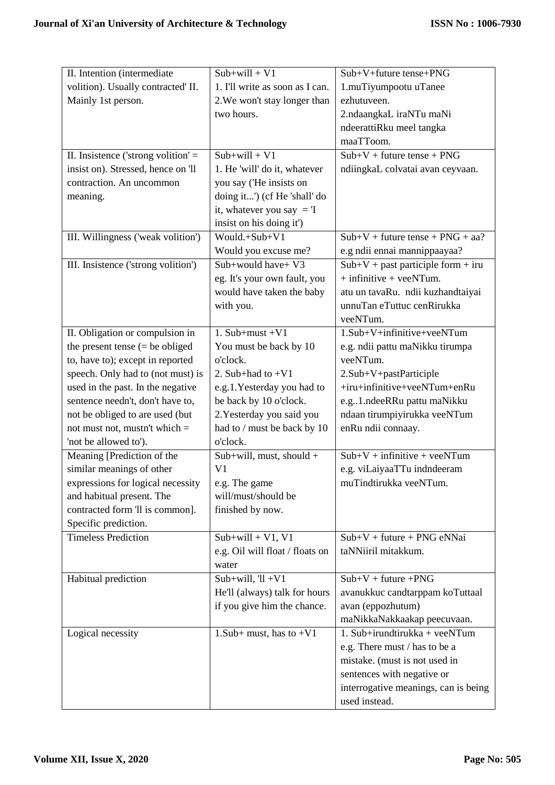| II. Intention (intermediate           | $Sub+will + V1$                 | Sub+V+future tense+PNG               |
|---------------------------------------|---------------------------------|--------------------------------------|
| volition). Usually contracted' II.    | 1. I'll write as soon as I can. | 1.muTiyumpootu uTanee                |
| Mainly 1st person.                    | 2. We won't stay longer than    | ezhutuveen.                          |
|                                       | two hours.                      | 2.ndaangkaL iraNTu maNi              |
|                                       |                                 | ndeerattiRku meel tangka             |
|                                       |                                 | maaTToom.                            |
| II. Insistence ('strong volition' $=$ | $Sub+will + V1$                 | $Sub+V + future$ tense + PNG         |
| insist on). Stressed, hence on 'll    | 1. He 'will' do it, whatever    | ndiingkaL colvatai avan ceyvaan.     |
| contraction. An uncommon              | you say ('He insists on         |                                      |
| meaning.                              | doing it') (cf He 'shall' do    |                                      |
|                                       | it, whatever you say $=$ T      |                                      |
|                                       | insist on his doing it')        |                                      |
| III. Willingness ('weak volition')    | Would.+Sub+V1                   | $Sub+V + future$ tense + PNG + aa?   |
|                                       | Would you excuse me?            | e.g ndii ennai mannippaayaa?         |
| III. Insistence ('strong volition')   | Sub+would have+ V3              | $Sub+V + past$ participle form + iru |
|                                       | eg. It's your own fault, you    | $+$ infinitive $+$ veeNTum.          |
|                                       | would have taken the baby       | atu un tavaRu. ndii kuzhandtaiyai    |
|                                       | with you.                       | unnuTan eTuttuc cenRirukka           |
|                                       |                                 | veeNTum.                             |
| II. Obligation or compulsion in       | 1. Sub+must $+V1$               | 1.Sub+V+infinitive+veeNTum           |
| the present tense $(=$ be obliged     | You must be back by 10          | e.g. ndii pattu maNikku tirumpa      |
| to, have to); except in reported      | o'clock.                        | veeNTum.                             |
| speech. Only had to (not must) is     | 2. Sub+had to $+V1$             | 2.Sub+V+pastParticiple               |
| used in the past. In the negative     | e.g.1. Yesterday you had to     | +iru+infinitive+veeNTum+enRu         |
| sentence needn't, don't have to,      | be back by 10 o'clock.          | e.g1.ndeeRRu pattu maNikku           |
| not be obliged to are used (but       | 2. Yesterday you said you       | ndaan tirumpiyirukka veeNTum         |
| not must not, must n't which $=$      | had to / must be back by 10     | enRu ndii connaay.                   |
| 'not be allowed to').                 | o'clock.                        |                                      |
| Meaning [Prediction of the            | Sub+will, must, should +        | $Sub+V + infinite + veeNTum$         |
| similar meanings of other             | V <sub>1</sub>                  | e.g. viLaiyaaTTu indndeeram          |
| expressions for logical necessity     | e.g. The game                   | muTindtirukka veeNTum.               |
| and habitual present. The             | will/must/should be             |                                      |
| contracted form 'll is common].       | finished by now.                |                                      |
| Specific prediction.                  |                                 |                                      |
| <b>Timeless Prediction</b>            | $Sub+will + V1, V1$             | $Sub+V + future + PNG$ eNNai         |
|                                       | e.g. Oil will float / floats on | taNNiiril mitakkum.                  |
|                                       | water                           |                                      |
| Habitual prediction                   | Sub+will, $[1 + V1]$            | $Sub+V + future + PNG$               |
|                                       | He'll (always) talk for hours   | avanukkuc candtarppam koTuttaal      |
|                                       | if you give him the chance.     | avan (eppozhutum)                    |
|                                       |                                 | maNikkaNakkaakap peecuvaan.          |
| Logical necessity                     | 1. Sub+ must, has to $+V1$      | 1. Sub+irundtirukka + veeNTum        |
|                                       |                                 | e.g. There must / has to be a        |
|                                       |                                 | mistake. (must is not used in        |
|                                       |                                 | sentences with negative or           |
|                                       |                                 | interrogative meanings, can is being |
|                                       |                                 | used instead.                        |